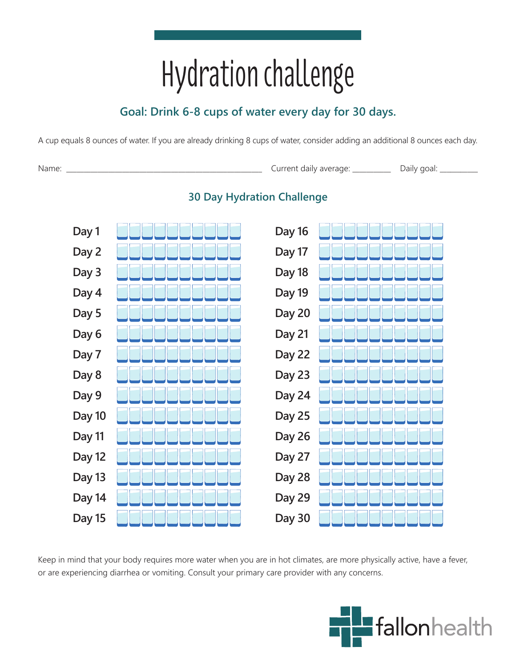# Hydration challenge

# **Goal: Drink 6-8 cups of water every day for 30 days.**

A cup equals 8 ounces of water. If you are already drinking 8 cups of water, consider adding an additional 8 ounces each day.

Name: \_\_\_\_\_\_\_\_\_\_\_\_\_\_\_\_\_\_\_\_\_\_\_\_\_\_\_\_\_\_\_\_\_\_\_\_\_\_\_\_\_\_\_\_\_\_\_\_\_\_\_\_\_\_\_\_ Current daily average: \_\_\_\_\_\_\_\_\_\_\_ Daily goal: \_\_\_\_\_\_\_\_\_\_\_



# **30 Day Hydration Challenge**

Keep in mind that your body requires more water when you are in hot climates, are more physically active, have a fever, or are experiencing diarrhea or vomiting. Consult your primary care provider with any concerns.